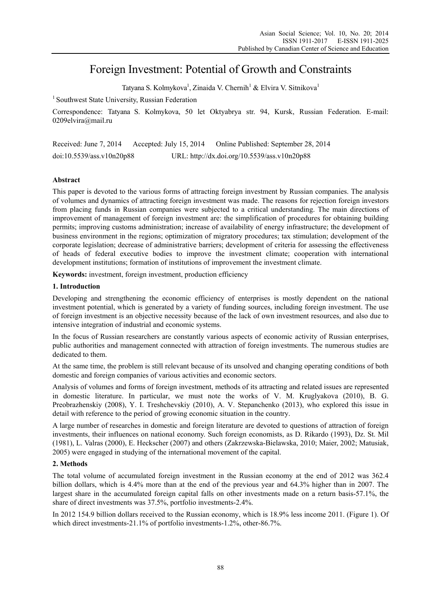# Foreign Investment: Potential of Growth and Constraints

Tatyana S. Kolmykova<sup>1</sup>, Zinaida V. Chernih<sup>1</sup> & Elvira V. Sitnikova<sup>1</sup>

<sup>1</sup> Southwest State University, Russian Federation

Correspondence: Tatyana S. Kolmykova, 50 let Oktyabrya str. 94, Kursk, Russian Federation. E-mail: 0209elvira@mail.ru

Received: June 7, 2014 Accepted: July 15, 2014 Online Published: September 28, 2014 doi:10.5539/ass.v10n20p88 URL: http://dx.doi.org/10.5539/ass.v10n20p88

# **Abstract**

This paper is devoted to the various forms of attracting foreign investment by Russian companies. The analysis of volumes and dynamics of attracting foreign investment was made. The reasons for rejection foreign investors from placing funds in Russian companies were subjected to a critical understanding. The main directions of improvement of management of foreign investment are: the simplification of procedures for obtaining building permits; improving customs administration; increase of availability of energy infrastructure; the development of business environment in the regions; optimization of migratory procedures; tax stimulation; development of the corporate legislation; decrease of administrative barriers; development of criteria for assessing the effectiveness of heads of federal executive bodies to improve the investment climate; cooperation with international development institutions; formation of institutions of improvement the investment climate.

**Keywords:** investment, foreign investment, production efficiency

## **1. Introduction**

Developing and strengthening the economic efficiency of enterprises is mostly dependent on the national investment potential, which is generated by a variety of funding sources, including foreign investment. The use of foreign investment is an objective necessity because of the lack of own investment resources, and also due to intensive integration of industrial and economic systems.

In the focus of Russian researchers are constantly various aspects of economic activity of Russian enterprises, public authorities and management connected with attraction of foreign investments. The numerous studies are dedicated to them.

At the same time, the problem is still relevant because of its unsolved and changing operating conditions of both domestic and foreign companies of various activities and economic sectors.

Analysis of volumes and forms of foreign investment, methods of its attracting and related issues are represented in domestic literature. In particular, we must note the works of V. M. Kruglyakova (2010), B. G. Preobrazhenskiy (2008), Y. I. Treshchevskiy (2010), A. V. Stepanchenko (2013), who explored this issue in detail with reference to the period of growing economic situation in the country.

A large number of researches in domestic and foreign literature are devoted to questions of attraction of foreign investments, their influences on national economy. Such foreign economists, as D. Rikardo (1993), Dz. St. Mil (1981), L. Valras (2000), E. Heckscher (2007) and others (Zakrzewska-Bielawska, 2010; Maier, 2002; Matusiak, 2005) were engaged in studying of the international movement of the capital.

# **2. Methods**

The total volume of accumulated foreign investment in the Russian economy at the end of 2012 was 362.4 billion dollars, which is 4.4% more than at the end of the previous year and 64.3% higher than in 2007. The largest share in the accumulated foreign capital falls on other investments made on a return basis-57.1%, the share of direct investments was 37.5%, portfolio investments-2.4%.

In 2012 154.9 billion dollars received to the Russian economy, which is 18.9% less income 2011. (Figure 1). Of which direct investments-21.1% of portfolio investments-1.2%, other-86.7%.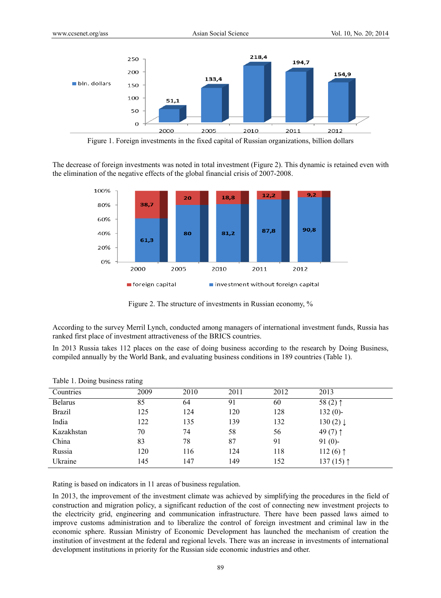

Figure 1. Foreign investments in the fixed capital of Russian organizations, billion dollars

The decrease of foreign investments was noted in total investment (Figure 2). This dynamic is retained even with the elimination of the negative effects of the global financial crisis of 2007-2008.



Figure 2. The structure of investments in Russian economy, %

According to the survey Merril Lynch, conducted among managers of international investment funds, Russia has ranked first place of investment attractiveness of the BRICS countries.

In 2013 Russia takes 112 places on the ease of doing business according to the research by Doing Business, compiled annually by the World Bank, and evaluating business conditions in 189 countries (Table 1).

| Countries     | 2009 | 2010 | 2011 | 2012 | 2013         |
|---------------|------|------|------|------|--------------|
| Belarus       | 85   | 64   | 91   | 60   | 58 $(2)$ ↑   |
| <b>Brazil</b> | 125  | 124  | 120  | 128  | $132(0)$ -   |
| India         | 122  | 135  | 139  | 132  | 130 $(2)$    |
| Kazakhstan    | 70   | 74   | 58   | 56   | 49 $(7)$ ↑   |
| China         | 83   | 78   | 87   | 91   | $91(0)$ -    |
| Russia        | 120  | 116  | 124  | 118  | 112 $(6)$ ↑  |
| Ukraine       | 145  | 147  | 149  | 152  | 137 $(15)$ ↑ |

```
Table 1. Doing business rating
```
Rating is based on indicators in 11 areas of business regulation.

In 2013, the improvement of the investment climate was achieved by simplifying the procedures in the field of construction and migration policy, a significant reduction of the cost of connecting new investment projects to the electricity grid, engineering and communication infrastructure. There have been passed laws aimed to improve customs administration and to liberalize the control of foreign investment and criminal law in the economic sphere. Russian Ministry of Economic Development has launched the mechanism of creation the institution of investment at the federal and regional levels. There was an increase in investments of international development institutions in priority for the Russian side economic industries and other.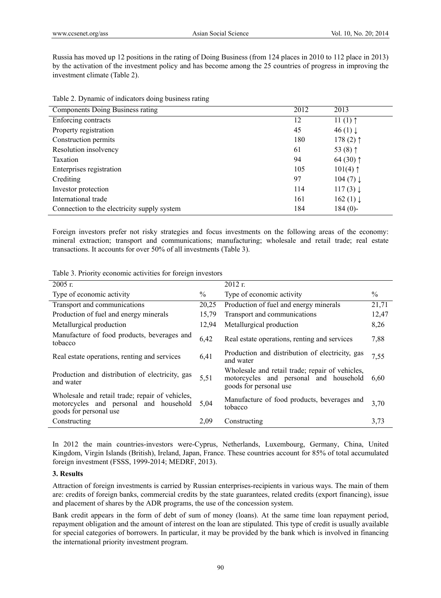Russia has moved up 12 positions in the rating of Doing Business (from 124 places in 2010 to 112 place in 2013) by the activation of the investment policy and has become among the 25 countries of progress in improving the investment climate (Table 2).

|  | Table 2. Dynamic of indicators doing business rating |  |  |
|--|------------------------------------------------------|--|--|

| <b>Components Doing Business rating</b>     | 2012 | 2013                                      |
|---------------------------------------------|------|-------------------------------------------|
| Enforcing contracts                         | 12   | 11 $(1)$ <sup><math>\uparrow</math></sup> |
| Property registration                       | 45   | 46 $(1)$                                  |
| Construction permits                        | 180  | 178 $(2)$ ↑                               |
| Resolution insolvency                       | 61   | 53 $(8)$ ↑                                |
| Taxation                                    | 94   | 64 $(30)$ ↑                               |
| Enterprises registration                    | 105  | $101(4)$ ↑                                |
| Crediting                                   | 97   | 104 $(7)$                                 |
| Investor protection                         | 114  | 117 $(3)$                                 |
| International trade                         | 161  | 162 $(1)$                                 |
| Connection to the electricity supply system | 184  | $184(0)$ -                                |

Foreign investors prefer not risky strategies and focus investments on the following areas of the economy: mineral extraction; transport and communications; manufacturing; wholesale and retail trade; real estate transactions. It accounts for over 50% of all investments (Table 3).

| $2005$ r.                                                                                                           |       | $2012$ r.                                                                                                           |               |
|---------------------------------------------------------------------------------------------------------------------|-------|---------------------------------------------------------------------------------------------------------------------|---------------|
| Type of economic activity                                                                                           | $\%$  | Type of economic activity                                                                                           | $\frac{0}{0}$ |
| Transport and communications                                                                                        | 20,25 | Production of fuel and energy minerals                                                                              | 21,71         |
| Production of fuel and energy minerals                                                                              | 15,79 | Transport and communications                                                                                        | 12,47         |
| Metallurgical production                                                                                            | 12,94 | Metallurgical production                                                                                            | 8,26          |
| Manufacture of food products, beverages and<br>tobacco                                                              | 6,42  | Real estate operations, renting and services                                                                        | 7,88          |
| Real estate operations, renting and services                                                                        | 6,41  | Production and distribution of electricity, gas<br>and water                                                        | 7,55          |
| Production and distribution of electricity, gas<br>and water                                                        | 5,51  | Wholesale and retail trade; repair of vehicles,<br>motorcycles and personal and household<br>goods for personal use | 6.60          |
| Wholesale and retail trade; repair of vehicles,<br>motorcycles and personal and household<br>goods for personal use | 5.04  | Manufacture of food products, beverages and<br>tobacco                                                              | 3,70          |
| Constructing                                                                                                        | 2,09  | Constructing                                                                                                        | 3.73          |

Table 3. Priority economic activities for foreign investors

In 2012 the main countries-investors were-Cyprus, Netherlands, Luxembourg, Germany, China, United Kingdom, Virgin Islands (British), Ireland, Japan, France. These countries account for 85% of total accumulated foreign investment (FSSS, 1999-2014; MEDRF, 2013).

## **3. Results**

Attraction of foreign investments is carried by Russian enterprises-recipients in various ways. The main of them are: credits of foreign banks, commercial credits by the state guarantees, related credits (export financing), issue and placement of shares by the ADR programs, the use of the concession system.

Bank credit appears in the form of debt of sum of money (loans). At the same time loan repayment period, repayment obligation and the amount of interest on the loan are stipulated. This type of credit is usually available for special categories of borrowers. In particular, it may be provided by the bank which is involved in financing the international priority investment program.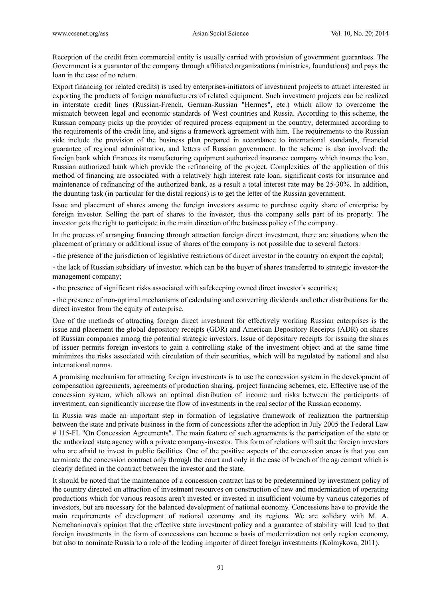Reception of the credit from commercial entity is usually carried with provision of government guarantees. The Government is a guarantor of the company through affiliated organizations (ministries, foundations) and pays the loan in the case of no return.

Export financing (or related credits) is used by enterprises-initiators of investment projects to attract interested in exporting the products of foreign manufacturers of related equipment. Such investment projects can be realized in interstate credit lines (Russian-French, German-Russian "Hermes", etc.) which allow to overcome the mismatch between legal and economic standards of West countries and Russia. According to this scheme, the Russian company picks up the provider of required process equipment in the country, determined according to the requirements of the credit line, and signs a framework agreement with him. The requirements to the Russian side include the provision of the business plan prepared in accordance to international standards, financial guarantee of regional administration, and letters of Russian government. In the scheme is also involved: the foreign bank which finances its manufacturing equipment authorized insurance company which insures the loan, Russian authorized bank which provide the refinancing of the project. Complexities of the application of this method of financing are associated with a relatively high interest rate loan, significant costs for insurance and maintenance of refinancing of the authorized bank, as a result a total interest rate may be 25-30%. In addition, the daunting task (in particular for the distal regions) is to get the letter of the Russian government.

Issue and placement of shares among the foreign investors assume to purchase equity share of enterprise by foreign investor. Selling the part of shares to the investor, thus the company sells part of its property. The investor gets the right to participate in the main direction of the business policy of the company.

In the process of arranging financing through attraction foreign direct investment, there are situations when the placement of primary or additional issue of shares of the company is not possible due to several factors:

- the presence of the jurisdiction of legislative restrictions of direct investor in the country on export the capital;

- the lack of Russian subsidiary of investor, which can be the buyer of shares transferred to strategic investor-the management company;

- the presence of significant risks associated with safekeeping owned direct investor's securities;

- the presence of non-optimal mechanisms of calculating and converting dividends and other distributions for the direct investor from the equity of enterprise.

One of the methods of attracting foreign direct investment for effectively working Russian enterprises is the issue and placement the global depository receipts (GDR) and American Depository Receipts (ADR) on shares of Russian companies among the potential strategic investors. Issue of depositary receipts for issuing the shares of issuer permits foreign investors to gain a controlling stake of the investment object and at the same time minimizes the risks associated with circulation of their securities, which will be regulated by national and also international norms.

A promising mechanism for attracting foreign investments is to use the concession system in the development of compensation agreements, agreements of production sharing, project financing schemes, etc. Effective use of the concession system, which allows an optimal distribution of income and risks between the participants of investment, can significantly increase the flow of investments in the real sector of the Russian economy.

In Russia was made an important step in formation of legislative framework of realization the partnership between the state and private business in the form of concessions after the adoption in July 2005 the Federal Law # 115-FL "On Concession Agreements". The main feature of such agreements is the participation of the state or the authorized state agency with a private company-investor. This form of relations will suit the foreign investors who are afraid to invest in public facilities. One of the positive aspects of the concession areas is that you can terminate the concession contract only through the court and only in the case of breach of the agreement which is clearly defined in the contract between the investor and the state.

It should be noted that the maintenance of a concession contract has to be predetermined by investment policy of the country directed on attraction of investment resources on construction of new and modernization of operating productions which for various reasons aren't invested or invested in insufficient volume by various categories of investors, but are necessary for the balanced development of national economy. Concessions have to provide the main requirements of development of national economy and its regions. We are solidary with M. A. Nemchaninova's opinion that the effective state investment policy and a guarantee of stability will lead to that foreign investments in the form of concessions can become a basis of modernization not only region economy, but also to nominate Russia to a role of the leading importer of direct foreign investments (Kolmykova, 2011).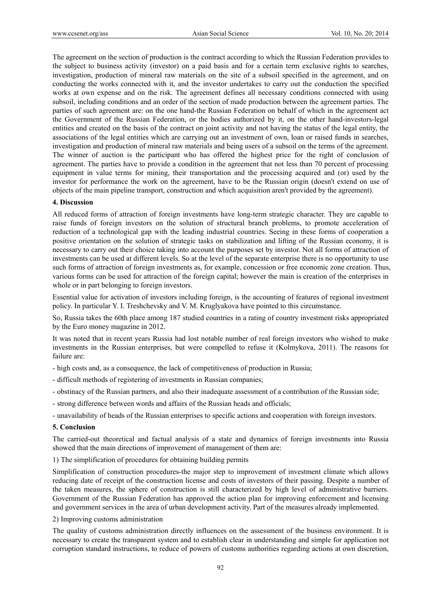The agreement on the section of production is the contract according to which the Russian Federation provides to the subject to business activity (investor) on a paid basis and for a certain term exclusive rights to searches, investigation, production of mineral raw materials on the site of a subsoil specified in the agreement, and on conducting the works connected with it, and the investor undertakes to carry out the conduction the specified works at own expense and on the risk. The agreement defines all necessary conditions connected with using subsoil, including conditions and an order of the section of made production between the agreement parties. The parties of such agreement are: on the one hand-the Russian Federation on behalf of which in the agreement act the Government of the Russian Federation, or the bodies authorized by it, on the other hand-investors-legal entities and created on the basis of the contract on joint activity and not having the status of the legal entity, the associations of the legal entities which are carrying out an investment of own, loan or raised funds in searches, investigation and production of mineral raw materials and being users of a subsoil on the terms of the agreement. The winner of auction is the participant who has offered the highest price for the right of conclusion of agreement. The parties have to provide a condition in the agreement that not less than 70 percent of processing equipment in value terms for mining, their transportation and the processing acquired and (or) used by the investor for performance the work on the agreement, have to be the Russian origin (doesn't extend on use of objects of the main pipeline transport, construction and which acquisition aren't provided by the agreement).

## **4. Discussion**

All reduced forms of attraction of foreign investments have long-term strategic character. They are capable to raise funds of foreign investors on the solution of structural branch problems, to promote acceleration of reduction of a technological gap with the leading industrial countries. Seeing in these forms of cooperation a positive orientation on the solution of strategic tasks on stabilization and lifting of the Russian economy, it is necessary to carry out their choice taking into account the purposes set by investor. Not all forms of attraction of investments can be used at different levels. So at the level of the separate enterprise there is no opportunity to use such forms of attraction of foreign investments as, for example, concession or free economic zone creation. Thus, various forms can be used for attraction of the foreign capital; however the main is creation of the enterprises in whole or in part belonging to foreign investors.

Essential value for activation of investors including foreign, is the accounting of features of regional investment policy. In particular Y. I. Treshchevsky and V. M. Kruglyakova have pointed to this circumstance.

So, Russia takes the 60th place among 187 studied countries in a rating of country investment risks appropriated by the Euro money magazine in 2012.

It was noted that in recent years Russia had lost notable number of real foreign investors who wished to make investments in the Russian enterprises, but were compelled to refuse it (Kolmykova, 2011). The reasons for failure are:

- high costs and, as a consequence, the lack of competitiveness of production in Russia;
- difficult methods of registering of investments in Russian companies;
- obstinacy of the Russian partners, and also their inadequate assessment of a contribution of the Russian side;
- strong difference between words and affairs of the Russian heads and officials;
- unavailability of heads of the Russian enterprises to specific actions and cooperation with foreign investors.

#### **5. Conclusion**

The carried-out theoretical and factual analysis of a state and dynamics of foreign investments into Russia showed that the main directions of improvement of management of them are:

1) The simplification of procedures for obtaining building permits

Simplification of construction procedures-the major step to improvement of investment climate which allows reducing date of receipt of the construction license and costs of investors of their passing. Despite a number of the taken measures, the sphere of construction is still characterized by high level of administrative barriers. Government of the Russian Federation has approved the action plan for improving enforcement and licensing and government services in the area of urban development activity. Part of the measures already implemented.

#### 2) Improving customs administration

The quality of customs administration directly influences on the assessment of the business environment. It is necessary to create the transparent system and to establish clear in understanding and simple for application not corruption standard instructions, to reduce of powers of customs authorities regarding actions at own discretion,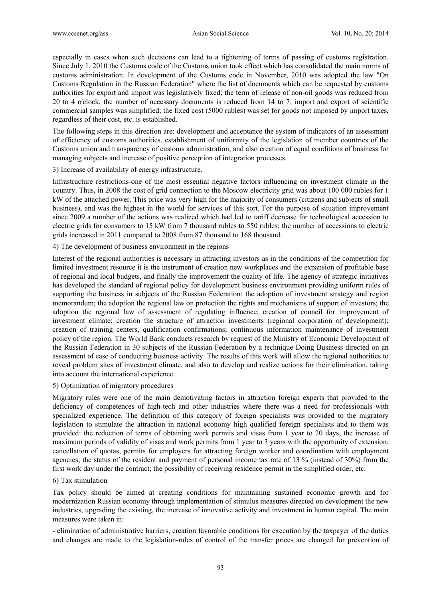especially in cases when such decisions can lead to a tightening of terms of passing of customs registration. Since July 1, 2010 the Customs code of the Customs union took effect which has consolidated the main norms of customs administration. In development of the Customs code in November, 2010 was adopted the law "On Customs Regulation in the Russian Federation" where the list of documents which can be requested by customs authorities for export and import was legislatively fixed; the term of release of non-oil goods was reduced from 20 to 4 o'clock, the number of necessary documents is reduced from 14 to 7; import and export of scientific commercial samples was simplified; the fixed cost (5000 rubles) was set for goods not imposed by import taxes, regardless of their cost, etc. is established.

The following steps in this direction are: development and acceptance the system of indicators of an assessment of efficiency of customs authorities, establishment of uniformity of the legislation of member countries of the Customs union and transparency of customs administration, and also creation of equal conditions of business for managing subjects and increase of positive perception of integration processes.

3) Increase of availability of energy infrastructure.

Infrastructure restrictions-one of the most essential negative factors influencing on investment climate in the country. Thus, in 2008 the cost of grid connection to the Moscow electricity grid was about 100 000 rubles for 1 kW of the attached power. This price was very high for the majority of consumers (citizens and subjects of small business), and was the highest in the world for services of this sort. For the purpose of situation improvement since 2009 a number of the actions was realized which had led to tariff decrease for technological accession to electric grids for consumers to 15 kW from 7 thousand rubles to 550 rubles; the number of accessions to electric grids increased in 2011 compared to 2008 from 87 thousand to 168 thousand.

4) The development of business environment in the regions

Interest of the regional authorities is necessary in attracting investors as in the conditions of the competition for limited investment resource it is the instrument of creation new workplaces and the expansion of profitable base of regional and local budgets, and finally the improvement the quality of life. The agency of strategic initiatives has developed the standard of regional policy for development business environment providing uniform rules of supporting the business in subjects of the Russian Federation: the adoption of investment strategy and region memorandum; the adoption the regional law on protection the rights and mechanisms of support of investors; the adoption the regional law of assessment of regulating influence; creation of council for improvement of investment climate; creation the structure of attraction investments (regional corporation of development); creation of training centers, qualification confirmations; continuous information maintenance of investment policy of the region. The World Bank conducts research by request of the Ministry of Economic Development of the Russian Federation in 30 subjects of the Russian Federation by a technique Doing Business directed on an assessment of ease of conducting business activity. The results of this work will allow the regional authorities to reveal problem sites of investment climate, and also to develop and realize actions for their elimination, taking into account the international experience.

5) Optimization of migratory procedures

Migratory rules were one of the main demotivating factors in attraction foreign experts that provided to the deficiency of competences of high-tech and other industries where there was a need for professionals with specialized experience. The definition of this category of foreign specialists was provided to the migratory legislation to stimulate the attraction in national economy high qualified foreign specialists and to them was provided: the reduction of terms of obtaining work permits and visas from 1 year to 20 days, the increase of maximum periods of validity of visas and work permits from 1 year to 3 years with the opportunity of extension; cancellation of quotas, permits for employers for attracting foreign worker and coordination with employment agencies; the status of the resident and payment of personal income tax rate of 13 % (instead of 30%) from the first work day under the contract; the possibility of receiving residence permit in the simplified order, etc.

6) Tax stimulation

Tax policy should be aimed at creating conditions for maintaining sustained economic growth and for modernization Russian economy through implementation of stimulus measures directed on development the new industries, upgrading the existing, the increase of innovative activity and investment in human capital. The main measures were taken in:

- elimination of administrative barriers, creation favorable conditions for execution by the taxpayer of the duties and changes are made to the legislation-rules of control of the transfer prices are changed for prevention of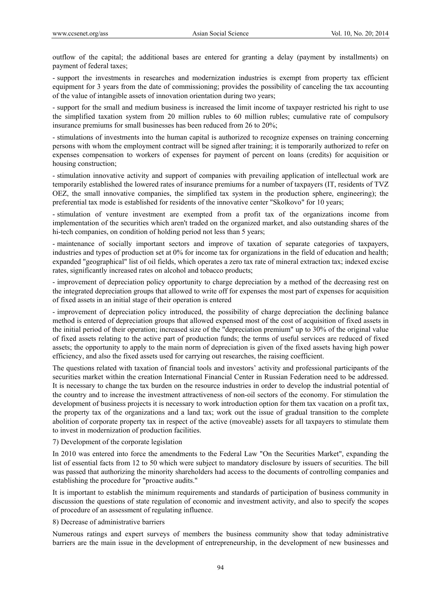outflow of the capital; the additional bases are entered for granting a delay (payment by installments) on payment of federal taxes;

- support the investments in researches and modernization industries is exempt from property tax efficient equipment for 3 years from the date of commissioning; provides the possibility of canceling the tax accounting of the value of intangible assets of innovation orientation during two years;

- support for the small and medium business is increased the limit income of taxpayer restricted his right to use the simplified taxation system from 20 million rubles to 60 million rubles; cumulative rate of compulsory insurance premiums for small businesses has been reduced from 26 to 20%;

- stimulations of investments into the human capital is authorized to recognize expenses on training concerning persons with whom the employment contract will be signed after training; it is temporarily authorized to refer on expenses compensation to workers of expenses for payment of percent on loans (credits) for acquisition or housing construction;

- stimulation innovative activity and support of companies with prevailing application of intellectual work are temporarily established the lowered rates of insurance premiums for a number of taxpayers (IT, residents of TVZ OEZ, the small innovative companies, the simplified tax system in the production sphere, engineering); the preferential tax mode is established for residents of the innovative center "Skolkovo" for 10 years;

- stimulation of venture investment are exempted from a profit tax of the organizations income from implementation of the securities which aren't traded on the organized market, and also outstanding shares of the hi-tech companies, on condition of holding period not less than 5 years;

- maintenance of socially important sectors and improve of taxation of separate categories of taxpayers, industries and types of production set at 0% for income tax for organizations in the field of education and health; expanded "geographical" list of oil fields, which operates a zero tax rate of mineral extraction tax; indexed excise rates, significantly increased rates on alcohol and tobacco products;

- improvement of depreciation policy opportunity to charge depreciation by a method of the decreasing rest on the integrated depreciation groups that allowed to write off for expenses the most part of expenses for acquisition of fixed assets in an initial stage of their operation is entered

- improvement of depreciation policy introduced, the possibility of charge depreciation the declining balance method is entered of depreciation groups that allowed expensed most of the cost of acquisition of fixed assets in the initial period of their operation; increased size of the "depreciation premium" up to 30% of the original value of fixed assets relating to the active part of production funds; the terms of useful services are reduced of fixed assets; the opportunity to apply to the main norm of depreciation is given of the fixed assets having high power efficiency, and also the fixed assets used for carrying out researches, the raising coefficient.

The questions related with taxation of financial tools and investors' activity and professional participants of the securities market within the creation International Financial Center in Russian Federation need to be addressed. It is necessary to change the tax burden on the resource industries in order to develop the industrial potential of the country and to increase the investment attractiveness of non-oil sectors of the economy. For stimulation the development of business projects it is necessary to work introduction option for them tax vacation on a profit tax, the property tax of the organizations and a land tax; work out the issue of gradual transition to the complete abolition of corporate property tax in respect of the active (moveable) assets for all taxpayers to stimulate them to invest in modernization of production facilities.

## 7) Development of the corporate legislation

In 2010 was entered into force the amendments to the Federal Law "On the Securities Market", expanding the list of essential facts from 12 to 50 which were subject to mandatory disclosure by issuers of securities. The bill was passed that authorizing the minority shareholders had access to the documents of controlling companies and establishing the procedure for "proactive audits."

It is important to establish the minimum requirements and standards of participation of business community in discussion the questions of state regulation of economic and investment activity, and also to specify the scopes of procedure of an assessment of regulating influence.

### 8) Decrease of administrative barriers

Numerous ratings and expert surveys of members the business community show that today administrative barriers are the main issue in the development of entrepreneurship, in the development of new businesses and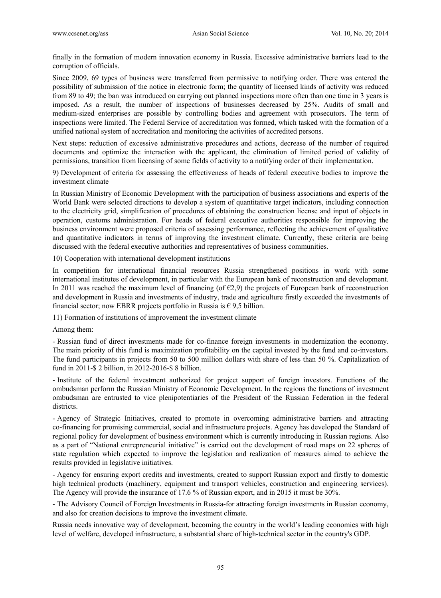finally in the formation of modern innovation economy in Russia. Excessive administrative barriers lead to the corruption of officials.

Since 2009, 69 types of business were transferred from permissive to notifying order. There was entered the possibility of submission of the notice in electronic form; the quantity of licensed kinds of activity was reduced from 89 to 49; the ban was introduced on carrying out planned inspections more often than one time in 3 years is imposed. As a result, the number of inspections of businesses decreased by 25%. Audits of small and medium-sized enterprises are possible by controlling bodies and agreement with prosecutors. The term of inspections were limited. The Federal Service of accreditation was formed, which tasked with the formation of a unified national system of accreditation and monitoring the activities of accredited persons.

Next steps: reduction of excessive administrative procedures and actions, decrease of the number of required documents and optimize the interaction with the applicant, the elimination of limited period of validity of permissions, transition from licensing of some fields of activity to a notifying order of their implementation.

9) Development of criteria for assessing the effectiveness of heads of federal executive bodies to improve the investment climate

In Russian Ministry of Economic Development with the participation of business associations and experts of the World Bank were selected directions to develop a system of quantitative target indicators, including connection to the electricity grid, simplification of procedures of obtaining the construction license and input of objects in operation, customs administration. For heads of federal executive authorities responsible for improving the business environment were proposed criteria of assessing performance, reflecting the achievement of qualitative and quantitative indicators in terms of improving the investment climate. Currently, these criteria are being discussed with the federal executive authorities and representatives of business communities.

10) Cooperation with international development institutions

In competition for international financial resources Russia strengthened positions in work with some international institutes of development, in particular with the European bank of reconstruction and development. In 2011 was reached the maximum level of financing (of €2,9) the projects of European bank of reconstruction and development in Russia and investments of industry, trade and agriculture firstly exceeded the investments of financial sector; now EBRR projects portfolio in Russia is  $\epsilon$  9,5 billion.

11) Formation of institutions of improvement the investment climate

Among them:

- Russian fund of direct investments made for co-finance foreign investments in modernization the economy. The main priority of this fund is maximization profitability on the capital invested by the fund and co-investors. The fund participants in projects from 50 to 500 million dollars with share of less than 50 %. Capitalization of fund in 2011-\$ 2 billion, in 2012-2016-\$ 8 billion.

- Institute of the federal investment authorized for project support of foreign investors. Functions of the ombudsman perform the Russian Ministry of Economic Development. In the regions the functions of investment ombudsman are entrusted to vice plenipotentiaries of the President of the Russian Federation in the federal districts.

- Agency of Strategic Initiatives, created to promote in overcoming administrative barriers and attracting co-financing for promising commercial, social and infrastructure projects. Agency has developed the Standard of regional policy for development of business environment which is currently introducing in Russian regions. Also as a part of "National entrepreneurial initiative" is carried out the development of road maps on 22 spheres of state regulation which expected to improve the legislation and realization of measures aimed to achieve the results provided in legislative initiatives.

- Agency for ensuring export credits and investments, created to support Russian export and firstly to domestic high technical products (machinery, equipment and transport vehicles, construction and engineering services). The Agency will provide the insurance of 17.6 % of Russian export, and in 2015 it must be 30%.

- The Advisory Council of Foreign Investments in Russia-for attracting foreign investments in Russian economy, and also for creation decisions to improve the investment climate.

Russia needs innovative way of development, becoming the country in the world's leading economies with high level of welfare, developed infrastructure, a substantial share of high-technical sector in the country's GDP.